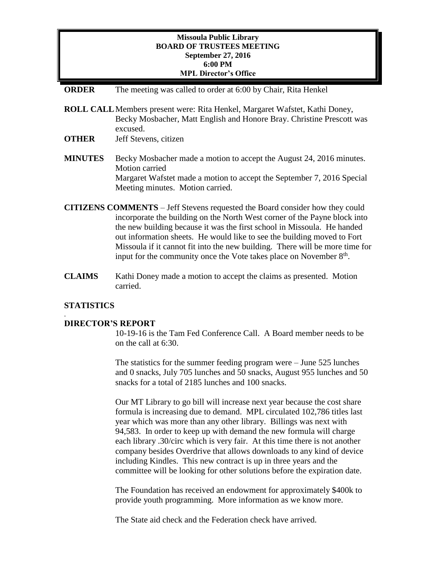### **Missoula Public Library BOARD OF TRUSTEES MEETING September 27, 2016 6:00 PM MPL Director's Office**

#### **ORDER** The meeting was called to order at 6:00 by Chair, Rita Henkel

- **ROLL CALL**Members present were: Rita Henkel, Margaret Wafstet, Kathi Doney, Becky Mosbacher, Matt English and Honore Bray. Christine Prescott was excused.
- **OTHER** Jeff Stevens, citizen
- **MINUTES** Becky Mosbacher made a motion to accept the August 24, 2016 minutes. Motion carried Margaret Wafstet made a motion to accept the September 7, 2016 Special Meeting minutes. Motion carried.
- **CITIZENS COMMENTS**  Jeff Stevens requested the Board consider how they could incorporate the building on the North West corner of the Payne block into the new building because it was the first school in Missoula. He handed out information sheets. He would like to see the building moved to Fort Missoula if it cannot fit into the new building. There will be more time for input for the community once the Vote takes place on November  $8<sup>th</sup>$ .
- **CLAIMS** Kathi Doney made a motion to accept the claims as presented. Motion carried.

### **STATISTICS**

.

#### **DIRECTOR'S REPORT**

10-19-16 is the Tam Fed Conference Call. A Board member needs to be on the call at 6:30.

The statistics for the summer feeding program were – June 525 lunches and 0 snacks, July 705 lunches and 50 snacks, August 955 lunches and 50 snacks for a total of 2185 lunches and 100 snacks.

Our MT Library to go bill will increase next year because the cost share formula is increasing due to demand. MPL circulated 102,786 titles last year which was more than any other library. Billings was next with 94,583. In order to keep up with demand the new formula will charge each library .30/circ which is very fair. At this time there is not another company besides Overdrive that allows downloads to any kind of device including Kindles. This new contract is up in three years and the committee will be looking for other solutions before the expiration date.

The Foundation has received an endowment for approximately \$400k to provide youth programming. More information as we know more.

The State aid check and the Federation check have arrived.